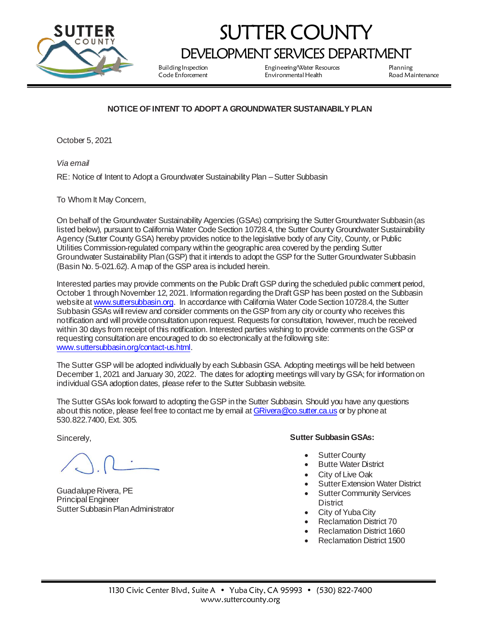

## SUTTER COUNTY DEVELOPMENT SERVICES DEPARTMENT

Building Inspection Engineering/Water Resources Planning Environmental Health Road Maintenance

## **NOTICE OF INTENT TO ADOPT A GROUNDWATER SUSTAINABILY PLAN**

October 5, 2021

*Via email* 

RE: Notice of Intent to Adopt a Groundwater Sustainability Plan –Sutter Subbasin

To Whom It May Concern,

On behalf of the Groundwater Sustainability Agencies (GSAs) comprising the Sutter Groundwater Subbasin (as listed below), pursuant to California Water Code Section 10728.4, the Sutter County Groundwater Sustainability Agency (Sutter County GSA) hereby provides notice to the legislative body of any City, County, or Public Utilities Commission-regulated company within the geographic area covered by the pending Sutter Groundwater Sustainability Plan (GSP) that it intends to adopt the GSP for the Sutter Groundwater Subbasin (Basin No. 5-021.62). A map of the GSP area is included herein.

Interested parties may provide comments on the Public Draft GSP during the scheduled public comment period, October 1 through November 12, 2021. Information regarding the Draft GSP has been posted on the Subbasin website [at www.suttersubbasin.org](http://www.suttersubbasin.org/). In accordance with California Water Code Section 10728.4, the Sutter Subbasin GSAs will review and consider comments on the GSP from any city or county who receives this notification and will provide consultation upon request. Requests for consultation, however, much be received within 30 days from receipt of this notification. Interested parties wishing to provide comments on the GSP or requesting consultation are encouraged to do so electronically at the following site: [www.suttersubbasin.org/contact-us.html](http://www.suttersubbasin.org/contact-us.html).

The Sutter GSP will be adopted individually by each Subbasin GSA. Adopting meetings will be held between December 1, 2021 and January 30, 2022. The dates for adopting meetings will vary by GSA; for information on individual GSA adoption dates, please refer to the Sutter Subbasin website.

The Sutter GSAs look forward to adopting the GSP in the Sutter Subbasin. Should you have any questions about this notice, please feel free to contact me by email [at GRivera@co.sutter.ca.us](mailto:GRivera@co.sutter.ca.us) or by phone at 530.822.7400, Ext. 305.

Sincerely,

Guadalupe Rivera, PE Principal Engineer Sutter Subbasin Plan Administrator

## **Sutter Subbasin GSAs:**

- Sutter County
- Butte Water District
- City of Live Oak
- **Sutter Extension Water District**
- **Sutter Community Services District**
- City of Yuba City
- Reclamation District 70
- Reclamation District 1660
- Reclamation District 1500